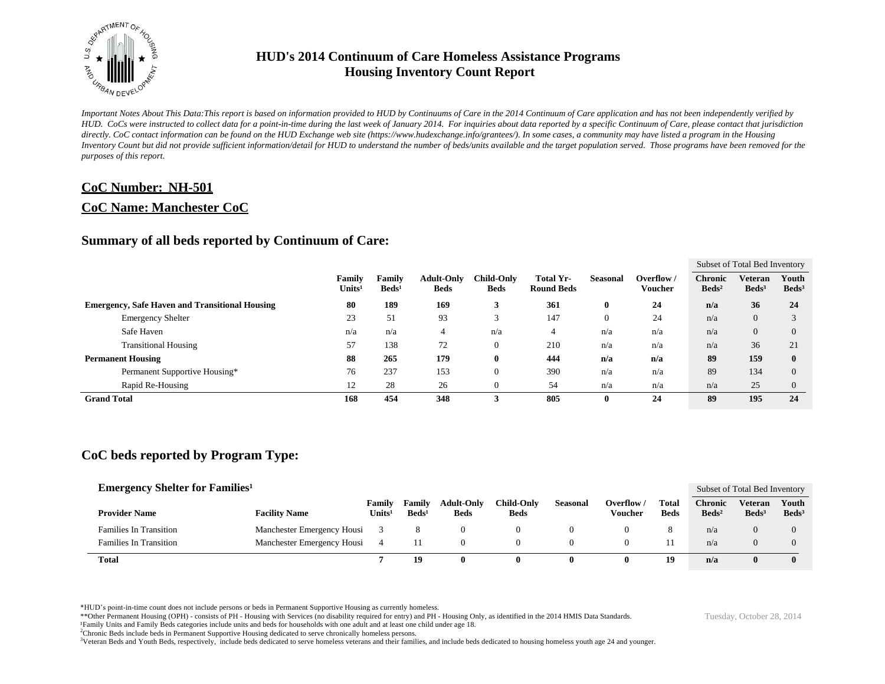

*Important Notes About This Data:This report is based on information provided to HUD by Continuums of Care in the 2014 Continuum of Care application and has not been independently verified by HUD. CoCs were instructed to collect data for a point-in-time during the last week of January 2014. For inquiries about data reported by a specific Continuum of Care, please contact that jurisdiction*  directly. CoC contact information can be found on the HUD Exchange web site (https://www.hudexchange.info/grantees/). In some cases, a community may have listed a program in the Housing *Inventory Count but did not provide sufficient information/detail for HUD to understand the number of beds/units available and the target population served. Those programs have been removed for the purposes of this report.*

#### **CoC Number: NH-501**

#### **CoC Name: Manchester CoC**

#### **Summary of all beds reported by Continuum of Care:**

|                                                       |                              |                           |                                  |                                  |                                |                |                     | Subset of Total Bed Inventory     |                              |                          |  |  |
|-------------------------------------------------------|------------------------------|---------------------------|----------------------------------|----------------------------------|--------------------------------|----------------|---------------------|-----------------------------------|------------------------------|--------------------------|--|--|
|                                                       | Family<br>Units <sup>1</sup> | Family<br>$\text{Beds}^1$ | <b>Adult-Only</b><br><b>Beds</b> | <b>Child-Only</b><br><b>Beds</b> | Total Yr-<br><b>Round Beds</b> | Seasonal       | Overflow<br>Voucher | <b>Chronic</b><br>$\text{Beds}^2$ | Veteran<br>Beds <sup>3</sup> | Youth<br>$\text{Beds}^3$ |  |  |
| <b>Emergency, Safe Haven and Transitional Housing</b> | 80                           | 189                       | 169                              | 3                                | 361                            | $\bf{0}$       | 24                  | n/a                               | 36                           | 24                       |  |  |
| <b>Emergency Shelter</b>                              | 23                           | 51                        | 93                               | $\sim$<br>3                      | 147                            | $\overline{0}$ | 24                  | n/a                               | $\overline{0}$               |                          |  |  |
| Safe Haven                                            | n/a                          | n/a                       |                                  | n/a                              | 4                              | n/a            | n/a                 | n/a                               | $\theta$                     |                          |  |  |
| <b>Transitional Housing</b>                           | 57                           | 138                       | 72                               | $\overline{0}$                   | 210                            | n/a            | n/a                 | n/a                               | 36                           | 21                       |  |  |
| <b>Permanent Housing</b>                              | 88                           | 265                       | 179                              | $\bf{0}$                         | 444                            | n/a            | n/a                 | 89                                | 159                          |                          |  |  |
| Permanent Supportive Housing*                         | 76                           | 237                       | 153                              | $\theta$                         | 390                            | n/a            | n/a                 | 89                                | 134                          |                          |  |  |
| Rapid Re-Housing                                      | 12                           | 28                        | 26                               | $\overline{0}$                   | 54                             | n/a            | n/a                 | n/a                               | 25                           |                          |  |  |
| <b>Grand Total</b>                                    | 168                          | 454                       | 348                              | 3                                | 805                            | $\mathbf 0$    | 24                  | 89                                | 195                          | 24                       |  |  |

#### **CoC beds reported by Program Type:**

| <b>Emergency Shelter for Families</b> <sup>1</sup> |                            |                              |                                  |                                  |                                  |          |                       |                             |                              | Subset of Total Bed Inventory |                            |  |
|----------------------------------------------------|----------------------------|------------------------------|----------------------------------|----------------------------------|----------------------------------|----------|-----------------------|-----------------------------|------------------------------|-------------------------------|----------------------------|--|
| <b>Provider Name</b>                               | <b>Facility Name</b>       | Familv<br>Units <sup>1</sup> | <b>Family</b><br>$\text{Beds}^1$ | <b>Adult-Only</b><br><b>Beds</b> | <b>Child-Only</b><br><b>Beds</b> | Seasonal | Overflow /<br>Voucher | <b>Total</b><br><b>Beds</b> | Chronic<br>Beds <sup>2</sup> | Veteran<br>Beds <sup>3</sup>  | Youth<br>Beds <sup>3</sup> |  |
| <b>Families In Transition</b>                      | Manchester Emergency Housi |                              |                                  |                                  |                                  |          |                       | ō                           | n/a                          | 0                             | $\Omega$                   |  |
| <b>Families In Transition</b>                      | Manchester Emergency Housi |                              | 11                               |                                  |                                  |          |                       |                             | n/a                          | 0                             | $\Omega$                   |  |
| <b>Total</b>                                       |                            |                              | 19                               |                                  |                                  | 0        | 0                     | 19                          | n/a                          |                               | $\mathbf{0}$               |  |

\*HUD's point-in-time count does not include persons or beds in Permanent Supportive Housing as currently homeless.

\*\*Other Permanent Housing (OPH) - consists of PH - Housing with Services (no disability required for entry) and PH - Housing Only, as identified in the 2014 HMIS Data Standards.

¹Family Units and Family Beds categories include units and beds for households with one adult and at least one child under age 18.

<sup>2</sup>Chronic Beds include beds in Permanent Supportive Housing dedicated to serve chronically homeless persons.

<sup>3</sup>Veteran Beds and Youth Beds, respectively, include beds dedicated to serve homeless veterans and their families, and include beds dedicated to housing homeless youth age 24 and younger.

Tuesday, October 28, 2014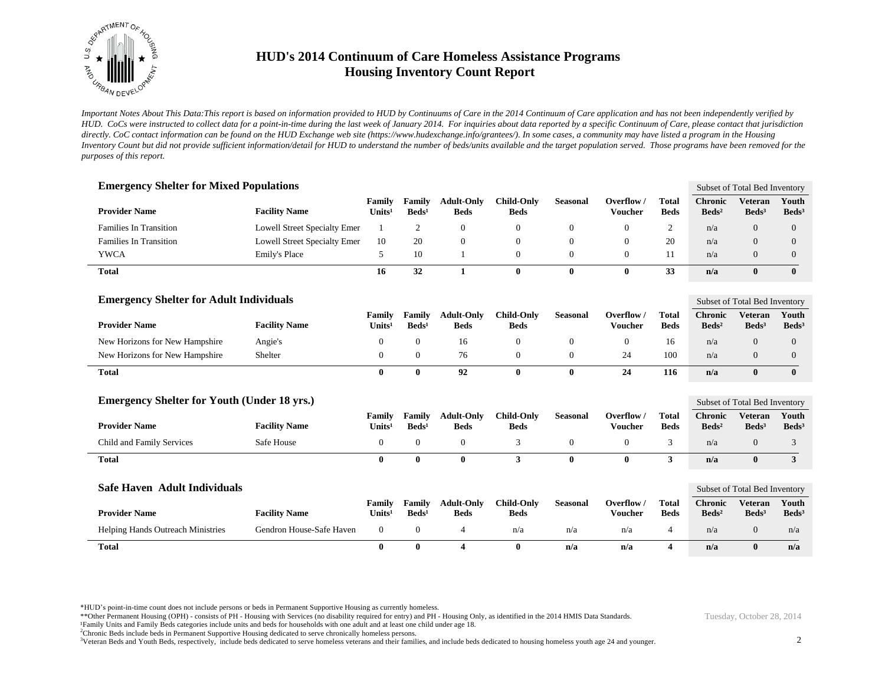

*Important Notes About This Data:This report is based on information provided to HUD by Continuums of Care in the 2014 Continuum of Care application and has not been independently verified by HUD. CoCs were instructed to collect data for a point-in-time during the last week of January 2014. For inquiries about data reported by a specific Continuum of Care, please contact that jurisdiction*  directly. CoC contact information can be found on the HUD Exchange web site (https://www.hudexchange.info/grantees/). In some cases, a community may have listed a program in the Housing *Inventory Count but did not provide sufficient information/detail for HUD to understand the number of beds/units available and the target population served. Those programs have been removed for the purposes of this report.*

| <b>Emergency Shelter for Mixed Populations</b>     |                                     |                                     |                           |                                  |                                  |                 |                                |                             |                                     | Subset of Total Bed Inventory       |                            |
|----------------------------------------------------|-------------------------------------|-------------------------------------|---------------------------|----------------------------------|----------------------------------|-----------------|--------------------------------|-----------------------------|-------------------------------------|-------------------------------------|----------------------------|
| <b>Provider Name</b>                               | <b>Facility Name</b>                | <b>Family</b><br>Units <sup>1</sup> | Family<br>$\text{Beds}^1$ | <b>Adult-Only</b><br><b>Beds</b> | <b>Child-Only</b><br><b>Beds</b> | <b>Seasonal</b> | Overflow /<br><b>Voucher</b>   | <b>Total</b><br><b>Beds</b> | <b>Chronic</b><br>$\text{Beds}^2$   | <b>Veteran</b><br>Beds <sup>3</sup> | Youth<br>Beds <sup>3</sup> |
| <b>Families In Transition</b>                      | <b>Lowell Street Specialty Emer</b> | 1                                   | $\mathfrak{2}$            | $\mathbf{0}$                     | $\mathbf{0}$                     | $\mathbf{0}$    | $\theta$                       | 2                           | n/a                                 | $\Omega$                            | $\overline{0}$             |
| <b>Families In Transition</b>                      | <b>Lowell Street Specialty Emer</b> | 10                                  | 20                        | $\boldsymbol{0}$                 | $\mathbf{0}$                     | $\mathbf{0}$    | $\theta$                       | 20                          | n/a                                 | $\overline{0}$                      | $\overline{0}$             |
| <b>YWCA</b>                                        | Emily's Place                       | 5                                   | 10                        | $\overline{1}$                   | $\mathbf{0}$                     | $\mathbf{0}$    | $\overline{0}$                 | 11                          | n/a                                 | $\overline{0}$                      | 0                          |
| <b>Total</b>                                       |                                     | 16                                  | 32                        | $\mathbf{1}$                     | $\bf{0}$                         | $\bf{0}$        | $\mathbf{0}$                   | 33                          | n/a                                 | $\bf{0}$                            | $\bf{0}$                   |
| <b>Emergency Shelter for Adult Individuals</b>     |                                     |                                     |                           |                                  |                                  |                 |                                |                             |                                     | Subset of Total Bed Inventory       |                            |
| <b>Provider Name</b>                               | <b>Facility Name</b>                | Family<br>Units <sup>1</sup>        | Family<br>$\text{Beds}^1$ | <b>Adult-Only</b><br><b>Beds</b> | <b>Child-Only</b><br><b>Beds</b> | <b>Seasonal</b> | Overflow $\sqrt{ }$<br>Voucher | <b>Total</b><br><b>Beds</b> | <b>Chronic</b><br>Beds <sup>2</sup> | <b>Veteran</b><br>$\text{Beds}^3$   | Youth<br>Beds <sup>3</sup> |
| New Horizons for New Hampshire                     | Angie's                             | $\overline{0}$                      | $\mathbf{0}$              | 16                               | $\mathbf{0}$                     | $\mathbf{0}$    | $\overline{0}$                 | 16                          | n/a                                 | $\overline{0}$                      | $\overline{0}$             |
| New Horizons for New Hampshire                     | Shelter                             | $\mathbf{0}$                        | $\overline{0}$            | 76                               | $\mathbf{0}$                     | $\mathbf{0}$    | 24                             | 100                         | n/a                                 | $\overline{0}$                      | 0                          |
| <b>Total</b>                                       |                                     | $\bf{0}$                            | 0                         | 92                               | $\bf{0}$                         | $\bf{0}$        | 24                             | 116                         | n/a                                 | $\bf{0}$                            | $\bf{0}$                   |
| <b>Emergency Shelter for Youth (Under 18 yrs.)</b> |                                     |                                     |                           |                                  |                                  |                 |                                |                             |                                     | Subset of Total Bed Inventory       |                            |
| <b>Provider Name</b>                               | <b>Facility Name</b>                | Family<br>Units <sup>1</sup>        | Family<br>$\text{Beds}^1$ | <b>Adult-Only</b><br><b>Beds</b> | <b>Child-Only</b><br><b>Beds</b> | <b>Seasonal</b> | Overflow /<br><b>Voucher</b>   | <b>Total</b><br><b>Beds</b> | <b>Chronic</b><br>$\text{Beds}^2$   | <b>Veteran</b><br>$\text{Beds}^3$   | Youth<br>Beds <sup>3</sup> |
| Child and Family Services                          | Safe House                          | $\mathbf{0}$                        | $\overline{0}$            | $\boldsymbol{0}$                 | 3                                | $\mathbf{0}$    | $\mathbf{0}$                   | 3                           | n/a                                 | $\overline{0}$                      | 3                          |
| <b>Total</b>                                       |                                     | $\bf{0}$                            | 0                         | $\bf{0}$                         | 3                                | $\mathbf{0}$    | $\bf{0}$                       | 3                           | n/a                                 | $\bf{0}$                            | 3                          |
| Safe Haven Adult Individuals                       |                                     |                                     |                           |                                  |                                  |                 |                                |                             |                                     | Subset of Total Bed Inventory       |                            |
| <b>Provider Name</b>                               | <b>Facility Name</b>                | Family<br>Units <sup>1</sup>        | Family<br>$\text{Beds}^1$ | <b>Adult-Only</b><br><b>Beds</b> | <b>Child-Only</b><br><b>Beds</b> | <b>Seasonal</b> | Overflow /<br><b>Voucher</b>   | <b>Total</b><br><b>Beds</b> | <b>Chronic</b><br>$\text{Beds}^2$   | <b>Veteran</b><br>$\text{Beds}^3$   | Youth<br>Beds <sup>3</sup> |
| <b>Helping Hands Outreach Ministries</b>           | Gendron House-Safe Haven            | $\mathbf{0}$                        | $\mathbf{0}$              | $\overline{4}$                   | n/a                              | n/a             | n/a                            | 4                           | n/a                                 | $\overline{0}$                      | n/a                        |
| <b>Total</b>                                       |                                     | $\bf{0}$                            | $\mathbf{0}$              | $\overline{\mathbf{4}}$          | $\bf{0}$                         | n/a             | n/a                            | $\overline{\mathbf{4}}$     | n/a                                 | $\bf{0}$                            | n/a                        |

\*HUD's point-in-time count does not include persons or beds in Permanent Supportive Housing as currently homeless.

\*\*Other Permanent Housing (OPH) - consists of PH - Housing with Services (no disability required for entry) and PH - Housing Only, as identified in the 2014 HMIS Data Standards. ¹Family Units and Family Beds categories include units and beds for households with one adult and at least one child under age 18.

<sup>2</sup>Chronic Beds include beds in Permanent Supportive Housing dedicated to serve chronically homeless persons.

<sup>3</sup>Veteran Beds and Youth Beds, respectively, include beds dedicated to serve homeless veterans and their families, and include beds dedicated to housing homeless youth age 24 and younger.

Tuesday, October 28, 2014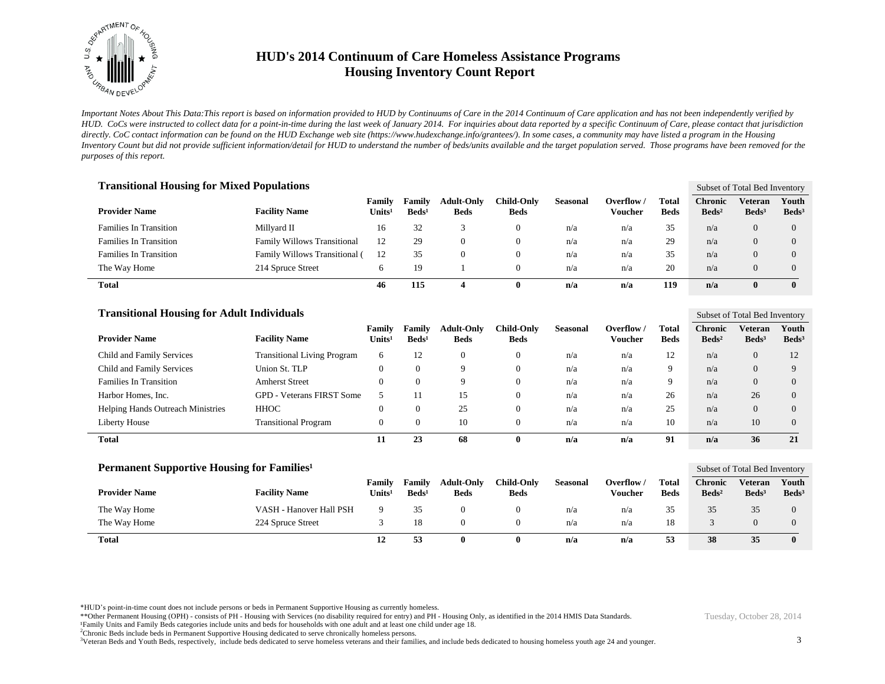

*Important Notes About This Data:This report is based on information provided to HUD by Continuums of Care in the 2014 Continuum of Care application and has not been independently verified by HUD. CoCs were instructed to collect data for a point-in-time during the last week of January 2014. For inquiries about data reported by a specific Continuum of Care, please contact that jurisdiction*  directly. CoC contact information can be found on the HUD Exchange web site (https://www.hudexchange.info/grantees/). In some cases, a community may have listed a program in the Housing *Inventory Count but did not provide sufficient information/detail for HUD to understand the number of beds/units available and the target population served. Those programs have been removed for the purposes of this report.*

| <b>Transitional Housing for Mixed Populations</b> |                                    |                              |                           |                                  |                           |          |                       |                      |                                     |                              | Subset of Total Bed Inventory |  |  |
|---------------------------------------------------|------------------------------------|------------------------------|---------------------------|----------------------------------|---------------------------|----------|-----------------------|----------------------|-------------------------------------|------------------------------|-------------------------------|--|--|
| <b>Provider Name</b>                              | <b>Facility Name</b>               | Family<br>Units <sup>1</sup> | Family<br>$\text{Beds}^1$ | <b>Adult-Only</b><br><b>Beds</b> | Child-Only<br><b>Beds</b> | Seasonal | Overflow /<br>Voucher | Total<br><b>Beds</b> | <b>Chronic</b><br>$\mathbf{Beds^2}$ | Veteran<br>Beds <sup>3</sup> | Youth<br>Beds <sup>3</sup>    |  |  |
| <b>Families In Transition</b>                     | Millvard II                        | 16                           | 32                        |                                  | $\mathbf{0}$              | n/a      | n/a                   | 35                   | n/a                                 | $\Omega$                     | $\Omega$                      |  |  |
| <b>Families In Transition</b>                     | <b>Family Willows Transitional</b> | 12                           | 29                        | $\Omega$                         | $\mathbf{0}$              | n/a      | n/a                   | 29                   | n/a                                 | $\theta$                     | $\Omega$                      |  |  |
| <b>Families In Transition</b>                     | Family Willows Transitional (      | 12                           | 35                        | $\Omega$                         | $\mathbf{0}$              | n/a      | n/a                   | 35                   | n/a                                 | $\Omega$                     | $\Omega$                      |  |  |
| The Way Home                                      | 214 Spruce Street                  | 6                            | 19                        |                                  | $\Omega$                  | n/a      | n/a                   | 20                   | n/a                                 | $\Omega$                     | $\Omega$                      |  |  |
| <b>Total</b>                                      |                                    | 46                           | 115                       | 4                                | $\bf{0}$                  | n/a      | n/a                   | 119                  | n/a                                 | $\mathbf{0}$                 | $\mathbf{0}$                  |  |  |

| <b>Transitional Housing for Adult Individuals</b> |                                    |                              |                             |                                  |                           |                 |                                |                      |                                   | Subset of Total Bed Inventory |                            |  |
|---------------------------------------------------|------------------------------------|------------------------------|-----------------------------|----------------------------------|---------------------------|-----------------|--------------------------------|----------------------|-----------------------------------|-------------------------------|----------------------------|--|
| <b>Provider Name</b>                              | <b>Facility Name</b>               | Familv<br>Units <sup>1</sup> | Family<br>Beds <sup>1</sup> | <b>Adult-Only</b><br><b>Beds</b> | Child-Only<br><b>Beds</b> | <b>Seasonal</b> | Overflow $\sqrt{ }$<br>Voucher | Total<br><b>Beds</b> | <b>Chronic</b><br>$\text{Beds}^2$ | Veteran<br>$\text{Beds}^3$    | Youth<br>Beds <sup>3</sup> |  |
| Child and Family Services                         | <b>Transitional Living Program</b> | <sub>6</sub>                 | 12                          | $\theta$                         | $\overline{0}$            | n/a             | n/a                            | 12                   | n/a                               | $\theta$                      | 12                         |  |
| Child and Family Services                         | Union St. TLP                      | 0                            |                             | $\Omega$                         | $\theta$                  | n/a             | n/a                            | 9                    | n/a                               | $\Omega$                      |                            |  |
| <b>Families In Transition</b>                     | <b>Amherst Street</b>              | 0                            |                             | Q                                | $\overline{0}$            | n/a             | n/a                            | 9                    | n/a                               | $\Omega$                      | $\Omega$                   |  |
| Harbor Homes, Inc.                                | <b>GPD - Veterans FIRST Some</b>   |                              |                             | 15                               | $\theta$                  | n/a             | n/a                            | 26                   | n/a                               | 26                            | $\Omega$                   |  |
| <b>Helping Hands Outreach Ministries</b>          | <b>HHOC</b>                        | 0                            |                             | 25                               | $\overline{0}$            | n/a             | n/a                            | 25                   | n/a                               | $\Omega$                      | $\Omega$                   |  |
| Liberty House                                     | <b>Transitional Program</b>        | 0                            |                             | 10                               | $\boldsymbol{0}$          | n/a             | n/a                            | 10                   | n/a                               | 10                            | $\Omega$                   |  |
| <b>Total</b>                                      |                                    |                              | 23                          | -68                              | v                         | n/a             | n/a                            | 91                   | n/a                               | 36                            | 21                         |  |

| Permanent Supportive Housing for Families <sup>1</sup> |                         |                  |                           |                                  |                                  |          |                       |                      |                                   | Subset of Total Bed Inventory       |                          |  |
|--------------------------------------------------------|-------------------------|------------------|---------------------------|----------------------------------|----------------------------------|----------|-----------------------|----------------------|-----------------------------------|-------------------------------------|--------------------------|--|
| <b>Provider Name</b>                                   | <b>Facility Name</b>    | Family<br>Units' | Familv<br>$\text{Beds}^1$ | <b>Adult-Only</b><br><b>Beds</b> | <b>Child-Only</b><br><b>Beds</b> | Seasonal | Overflow /<br>Voucher | Total<br><b>Beds</b> | <b>Chronic</b><br>$\text{Beds}^2$ | <b>Veteran</b><br>Beds <sup>3</sup> | Youth<br>$\text{Beds}^3$ |  |
| The Way Home                                           | VASH - Hanover Hall PSH | 9                | 35                        |                                  |                                  | n/a      | n/a                   | 35                   | 35                                | 35                                  | $\theta$                 |  |
| The Way Home                                           | 224 Spruce Street       |                  | 18                        | 0                                |                                  | n/a      | n/a                   | 18                   |                                   |                                     | $\theta$                 |  |
| <b>Total</b>                                           |                         | 12               | 53                        | 0                                | 0                                | n/a      | n/a                   | 53                   | 38                                | 35                                  | $\mathbf{0}$             |  |

\*HUD's point-in-time count does not include persons or beds in Permanent Supportive Housing as currently homeless.

\*\*Other Permanent Housing (OPH) - consists of PH - Housing with Services (no disability required for entry) and PH - Housing Only, as identified in the 2014 HMIS Data Standards. ¹Family Units and Family Beds categories include units and beds for households with one adult and at least one child under age 18.

<sup>2</sup>Chronic Beds include beds in Permanent Supportive Housing dedicated to serve chronically homeless persons.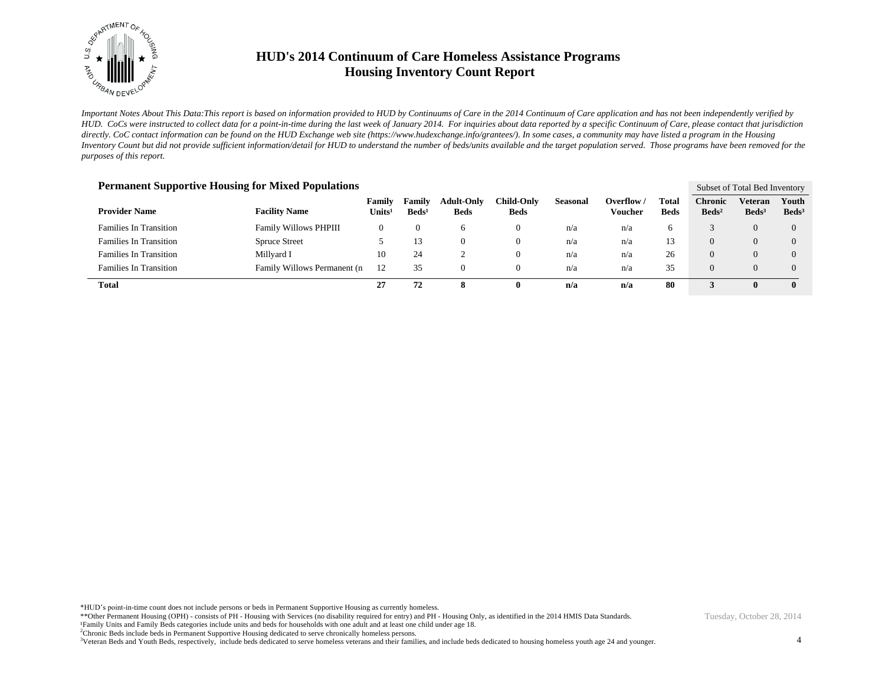

*Important Notes About This Data:This report is based on information provided to HUD by Continuums of Care in the 2014 Continuum of Care application and has not been independently verified by HUD. CoCs were instructed to collect data for a point-in-time during the last week of January 2014. For inquiries about data reported by a specific Continuum of Care, please contact that jurisdiction*  directly. CoC contact information can be found on the HUD Exchange web site (https://www.hudexchange.info/grantees/). In some cases, a community may have listed a program in the Housing *Inventory Count but did not provide sufficient information/detail for HUD to understand the number of beds/units available and the target population served. Those programs have been removed for the purposes of this report.*

| <b>Permanent Supportive Housing for Mixed Populations</b> |                              |                              |                             |                                  |                           |                 |                       |                      |                                   |                            | Subset of Total Bed Inventory |  |  |
|-----------------------------------------------------------|------------------------------|------------------------------|-----------------------------|----------------------------------|---------------------------|-----------------|-----------------------|----------------------|-----------------------------------|----------------------------|-------------------------------|--|--|
| <b>Provider Name</b>                                      | <b>Facility Name</b>         | Family<br>Units <sup>1</sup> | Family<br>Beds <sup>1</sup> | <b>Adult-Only</b><br><b>Beds</b> | Child-Only<br><b>Beds</b> | <b>Seasonal</b> | Overflow /<br>Voucher | Total<br><b>Beds</b> | <b>Chronic</b><br>$\text{Beds}^2$ | Veteran<br>$\text{Beds}^3$ | Youth<br>$\text{Beds}^3$      |  |  |
| <b>Families In Transition</b>                             | <b>Family Willows PHPIII</b> | 0                            |                             | <sub>6</sub>                     | 0                         | n/a             | n/a                   | 6                    |                                   | $\theta$                   | $\theta$                      |  |  |
| <b>Families In Transition</b>                             | <b>Spruce Street</b>         |                              | 13                          | 0                                | 0                         | n/a             | n/a                   | 13                   | $\Omega$                          | 0                          |                               |  |  |
| <b>Families In Transition</b>                             | Millyard I                   | 10                           | 24                          |                                  | 0                         | n/a             | n/a                   | 26                   | $\Omega$                          | 0                          |                               |  |  |
| <b>Families In Transition</b>                             | Family Willows Permanent (n) | 12                           | 35                          | 0                                | 0                         | n/a             | n/a                   | 35                   | $\Omega$                          | $\theta$                   |                               |  |  |
| <b>Total</b>                                              |                              | 27                           | 72                          | 8                                | v                         | n/a             | n/a                   | 80                   |                                   | 0                          | $\mathbf{0}$                  |  |  |

\*HUD's point-in-time count does not include persons or beds in Permanent Supportive Housing as currently homeless.

\*\*Other Permanent Housing (OPH) - consists of PH - Housing with Services (no disability required for entry) and PH - Housing Only, as identified in the 2014 HMIS Data Standards. ¹Family Units and Family Beds categories include units and beds for households with one adult and at least one child under age 18.

<sup>2</sup>Chronic Beds include beds in Permanent Supportive Housing dedicated to serve chronically homeless persons.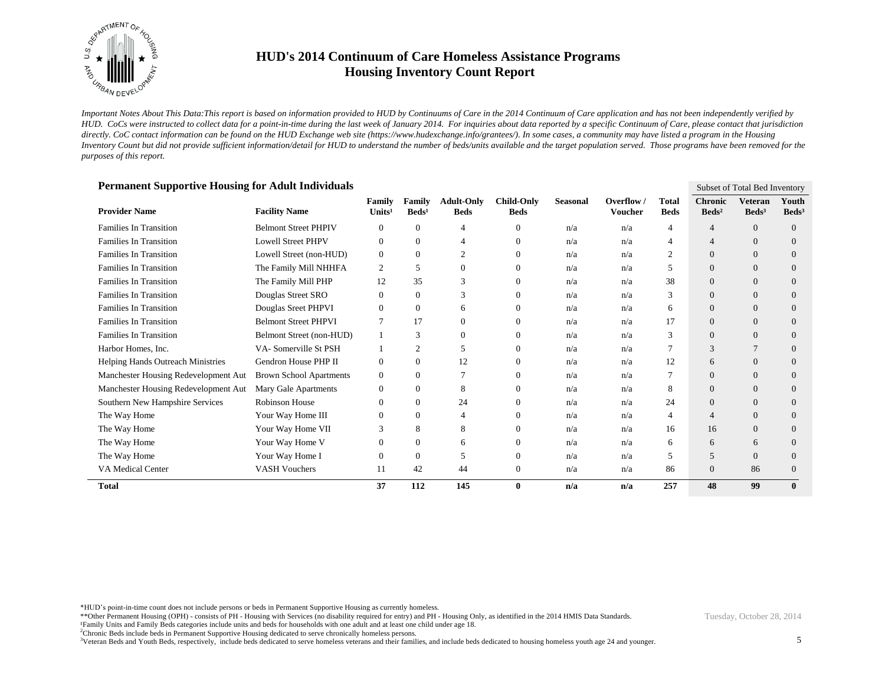

*Important Notes About This Data:This report is based on information provided to HUD by Continuums of Care in the 2014 Continuum of Care application and has not been independently verified by HUD. CoCs were instructed to collect data for a point-in-time during the last week of January 2014. For inquiries about data reported by a specific Continuum of Care, please contact that jurisdiction*  directly. CoC contact information can be found on the HUD Exchange web site (https://www.hudexchange.info/grantees/). In some cases, a community may have listed a program in the Housing *Inventory Count but did not provide sufficient information/detail for HUD to understand the number of beds/units available and the target population served. Those programs have been removed for the purposes of this report.*

| <b>Permanent Supportive Housing for Adult Individuals</b> |                                |                              |                           |                                  |                                  |                 |                              |                      |                                   | Subset of Total Bed Inventory     |                            |
|-----------------------------------------------------------|--------------------------------|------------------------------|---------------------------|----------------------------------|----------------------------------|-----------------|------------------------------|----------------------|-----------------------------------|-----------------------------------|----------------------------|
| <b>Provider Name</b>                                      | <b>Facility Name</b>           | Family<br>Units <sup>1</sup> | Family<br>$\text{Beds}^1$ | <b>Adult-Only</b><br><b>Beds</b> | <b>Child-Only</b><br><b>Beds</b> | <b>Seasonal</b> | Overflow /<br><b>Voucher</b> | Total<br><b>Beds</b> | <b>Chronic</b><br>$\text{Beds}^2$ | <b>Veteran</b><br>$\text{Beds}^3$ | Youth<br>Beds <sup>3</sup> |
| <b>Families In Transition</b>                             | <b>Belmont Street PHPIV</b>    | $\mathbf{0}$                 | 0                         | $\overline{4}$                   | $\mathbf{0}$                     | n/a             | n/a                          | $\overline{4}$       | $\overline{4}$                    | $\overline{0}$                    | $\overline{0}$             |
| <b>Families In Transition</b>                             | <b>Lowell Street PHPV</b>      | $\mathbf{0}$                 | 0                         | $\overline{4}$                   | $\Omega$                         | n/a             | n/a                          | $\overline{4}$       | $\overline{4}$                    | $\Omega$                          | $\Omega$                   |
| <b>Families In Transition</b>                             | Lowell Street (non-HUD)        | $\mathbf{0}$                 | 0                         | $\overline{2}$                   | $\theta$                         | n/a             | n/a                          | 2                    | $\theta$                          | $\overline{0}$                    | $\overline{0}$             |
| <b>Families In Transition</b>                             | The Family Mill NHHFA          | 2                            | 5                         | $\theta$                         | $\mathbf{0}$                     | n/a             | n/a                          | 5                    | $\mathbf{0}$                      | $\overline{0}$                    | $\theta$                   |
| <b>Families In Transition</b>                             | The Family Mill PHP            | 12                           | 35                        | 3                                | $\Omega$                         | n/a             | n/a                          | 38                   | $\Omega$                          | $\Omega$                          | $\Omega$                   |
| <b>Families In Transition</b>                             | Douglas Street SRO             | $\mathbf{0}$                 | 0                         | 3                                | $\Omega$                         | n/a             | n/a                          | 3                    | $\Omega$                          | $\overline{0}$                    | $\theta$                   |
| <b>Families In Transition</b>                             | Douglas Sreet PHPVI            | $\Omega$                     | 0                         | 6                                | $\Omega$                         | n/a             | n/a                          | 6                    | $\Omega$                          | $\Omega$                          | $\theta$                   |
| <b>Families In Transition</b>                             | <b>Belmont Street PHPVI</b>    | 7                            | 17                        | $\theta$                         | $\Omega$                         | n/a             | n/a                          | 17                   | $\mathbf{0}$                      | $\overline{0}$                    | $\theta$                   |
| <b>Families In Transition</b>                             | Belmont Street (non-HUD)       |                              | 3                         | $\theta$                         | $\Omega$                         | n/a             | n/a                          | 3                    | $\Omega$                          | $\Omega$                          | $\Omega$                   |
| Harbor Homes, Inc.                                        | VA-Somerville St PSH           |                              | 2                         | 5                                | $\Omega$                         | n/a             | n/a                          |                      | 3                                 |                                   | $\theta$                   |
| Helping Hands Outreach Ministries                         | Gendron House PHP II           | $\mathbf{0}$                 | 0                         | 12                               | $\Omega$                         | n/a             | n/a                          | 12                   | 6                                 | $\Omega$                          | $\Omega$                   |
| Manchester Housing Redevelopment Aut                      | <b>Brown School Apartments</b> | $\mathbf{0}$                 | 0                         |                                  | $\Omega$                         | n/a             | n/a                          |                      | $\theta$                          | $\Omega$                          | $\theta$                   |
| Manchester Housing Redevelopment Aut                      | Mary Gale Apartments           | $\boldsymbol{0}$             | 0                         | 8                                | $\Omega$                         | n/a             | n/a                          | 8                    | $\mathbf{0}$                      | $\Omega$                          | $\Omega$                   |
| Southern New Hampshire Services                           | <b>Robinson House</b>          | $\Omega$                     | 0                         | 24                               | $\Omega$                         | n/a             | n/a                          | 24                   | $\mathbf{0}$                      | $\overline{0}$                    | $\theta$                   |
| The Way Home                                              | Your Way Home III              | $\Omega$                     | 0                         | $\overline{4}$                   | $\Omega$                         | n/a             | n/a                          | $\overline{4}$       | $\overline{4}$                    | $\Omega$                          | $\Omega$                   |
| The Way Home                                              | Your Way Home VII              | 3                            | 8                         | 8                                | $\theta$                         | n/a             | n/a                          | 16                   | 16                                | $\overline{0}$                    | $\theta$                   |
| The Way Home                                              | Your Way Home V                | $\Omega$                     | 0                         | 6                                | $\Omega$                         | n/a             | n/a                          | 6                    | 6                                 | 6                                 | $\Omega$                   |
| The Way Home                                              | Your Way Home I                | $\mathbf{0}$                 | $\theta$                  | 5                                | $\theta$                         | n/a             | n/a                          | 5                    | 5                                 | $\Omega$                          | $\theta$                   |
| VA Medical Center                                         | <b>VASH Vouchers</b>           | 11                           | 42                        | 44                               | $\boldsymbol{0}$                 | n/a             | n/a                          | 86                   | $\overline{0}$                    | 86                                | $\theta$                   |
| <b>Total</b>                                              |                                | 37                           | 112                       | 145                              | $\bf{0}$                         | n/a             | n/a                          | 257                  | 48                                | 99                                | $\mathbf{0}$               |

\*HUD's point-in-time count does not include persons or beds in Permanent Supportive Housing as currently homeless.

\*\*Other Permanent Housing (OPH) - consists of PH - Housing with Services (no disability required for entry) and PH - Housing Only, as identified in the 2014 HMIS Data Standards. ¹Family Units and Family Beds categories include units and beds for households with one adult and at least one child under age 18.

<sup>2</sup>Chronic Beds include beds in Permanent Supportive Housing dedicated to serve chronically homeless persons.